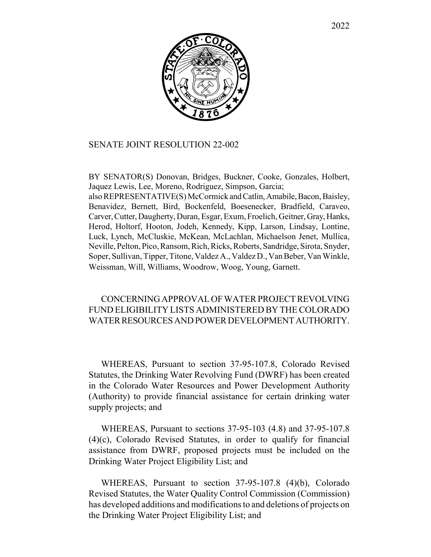

#### SENATE JOINT RESOLUTION 22-002

BY SENATOR(S) Donovan, Bridges, Buckner, Cooke, Gonzales, Holbert, Jaquez Lewis, Lee, Moreno, Rodriguez, Simpson, Garcia; also REPRESENTATIVE(S) McCormick and Catlin, Amabile, Bacon, Baisley, Benavidez, Bernett, Bird, Bockenfeld, Boesenecker, Bradfield, Caraveo, Carver, Cutter, Daugherty, Duran, Esgar, Exum, Froelich, Geitner, Gray, Hanks, Herod, Holtorf, Hooton, Jodeh, Kennedy, Kipp, Larson, Lindsay, Lontine, Luck, Lynch, McCluskie, McKean, McLachlan, Michaelson Jenet, Mullica, Neville, Pelton, Pico, Ransom, Rich, Ricks, Roberts, Sandridge, Sirota, Snyder, Soper, Sullivan, Tipper, Titone, Valdez A., Valdez D., Van Beber, Van Winkle, Weissman, Will, Williams, Woodrow, Woog, Young, Garnett.

#### CONCERNING APPROVAL OF WATER PROJECT REVOLVING FUND ELIGIBILITY LISTS ADMINISTERED BY THE COLORADO WATER RESOURCES AND POWER DEVELOPMENT AUTHORITY.

WHEREAS, Pursuant to section 37-95-107.8, Colorado Revised Statutes, the Drinking Water Revolving Fund (DWRF) has been created in the Colorado Water Resources and Power Development Authority (Authority) to provide financial assistance for certain drinking water supply projects; and

WHEREAS, Pursuant to sections 37-95-103 (4.8) and 37-95-107.8 (4)(c), Colorado Revised Statutes, in order to qualify for financial assistance from DWRF, proposed projects must be included on the Drinking Water Project Eligibility List; and

WHEREAS, Pursuant to section 37-95-107.8 (4)(b), Colorado Revised Statutes, the Water Quality Control Commission (Commission) has developed additions and modifications to and deletions of projects on the Drinking Water Project Eligibility List; and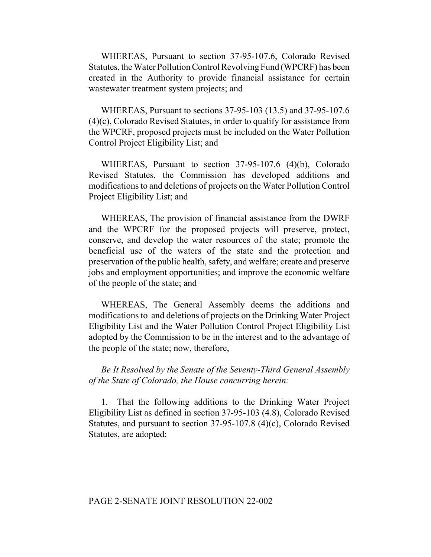WHEREAS, Pursuant to section 37-95-107.6, Colorado Revised Statutes, the Water Pollution Control Revolving Fund (WPCRF) has been created in the Authority to provide financial assistance for certain wastewater treatment system projects; and

WHEREAS, Pursuant to sections 37-95-103 (13.5) and 37-95-107.6 (4)(c), Colorado Revised Statutes, in order to qualify for assistance from the WPCRF, proposed projects must be included on the Water Pollution Control Project Eligibility List; and

WHEREAS, Pursuant to section 37-95-107.6 (4)(b), Colorado Revised Statutes, the Commission has developed additions and modifications to and deletions of projects on the Water Pollution Control Project Eligibility List; and

WHEREAS, The provision of financial assistance from the DWRF and the WPCRF for the proposed projects will preserve, protect, conserve, and develop the water resources of the state; promote the beneficial use of the waters of the state and the protection and preservation of the public health, safety, and welfare; create and preserve jobs and employment opportunities; and improve the economic welfare of the people of the state; and

WHEREAS, The General Assembly deems the additions and modifications to and deletions of projects on the Drinking Water Project Eligibility List and the Water Pollution Control Project Eligibility List adopted by the Commission to be in the interest and to the advantage of the people of the state; now, therefore,

*Be It Resolved by the Senate of the Seventy-Third General Assembly of the State of Colorado, the House concurring herein:*

1. That the following additions to the Drinking Water Project Eligibility List as defined in section 37-95-103 (4.8), Colorado Revised Statutes, and pursuant to section 37-95-107.8 (4)(c), Colorado Revised Statutes, are adopted: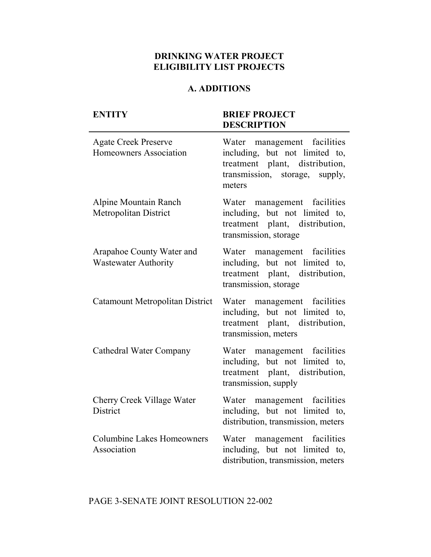## **DRINKING WATER PROJECT ELIGIBILITY LIST PROJECTS**

## **A. ADDITIONS**

| <b>ENTITY</b>                                            | <b>BRIEF PROJECT</b><br><b>DESCRIPTION</b>                                                                                                  |
|----------------------------------------------------------|---------------------------------------------------------------------------------------------------------------------------------------------|
| <b>Agate Creek Preserve</b><br>Homeowners Association    | Water management facilities<br>including, but not limited to,<br>treatment plant, distribution,<br>transmission, storage, supply,<br>meters |
| <b>Alpine Mountain Ranch</b><br>Metropolitan District    | Water management facilities<br>including, but not limited to,<br>treatment plant, distribution,<br>transmission, storage                    |
| Arapahoe County Water and<br><b>Wastewater Authority</b> | Water management facilities<br>including, but not limited to,<br>treatment plant, distribution,<br>transmission, storage                    |
| Catamount Metropolitan District                          | Water management facilities<br>including, but not limited to,<br>treatment plant, distribution,<br>transmission, meters                     |
| <b>Cathedral Water Company</b>                           | Water management facilities<br>including, but not limited to,<br>treatment plant, distribution,<br>transmission, supply                     |
| Cherry Creek Village Water<br>District                   | Water management facilities<br>including, but not limited to,<br>distribution, transmission, meters                                         |
| <b>Columbine Lakes Homeowners</b><br>Association         | Water management facilities<br>including, but not limited to,<br>distribution, transmission, meters                                         |

## PAGE 3-SENATE JOINT RESOLUTION 22-002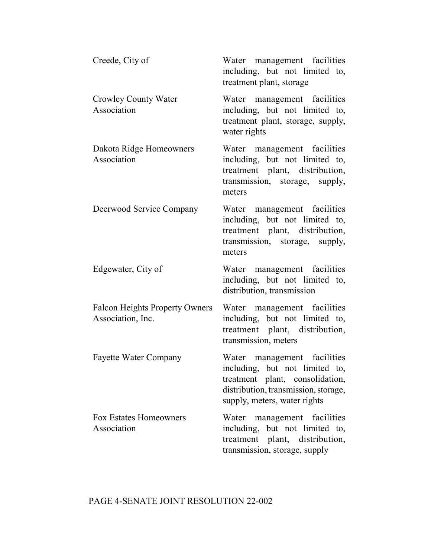| Creede, City of                                            | Water management facilities<br>including, but not limited to,<br>treatment plant, storage                                                                                |
|------------------------------------------------------------|--------------------------------------------------------------------------------------------------------------------------------------------------------------------------|
| Crowley County Water<br>Association                        | Water management facilities<br>including, but not limited to,<br>treatment plant, storage, supply,<br>water rights                                                       |
| Dakota Ridge Homeowners<br>Association                     | Water management facilities<br>including, but not limited to,<br>treatment plant, distribution,<br>transmission, storage, supply,<br>meters                              |
| Deerwood Service Company                                   | Water management facilities<br>including, but not limited to,<br>treatment plant, distribution,<br>transmission, storage, supply,<br>meters                              |
| Edgewater, City of                                         | Water management facilities<br>including, but not limited to,<br>distribution, transmission                                                                              |
| <b>Falcon Heights Property Owners</b><br>Association, Inc. | Water management facilities<br>including, but not limited to,<br>treatment plant, distribution,<br>transmission, meters                                                  |
| <b>Fayette Water Company</b>                               | Water management facilities<br>including, but not limited to,<br>treatment plant, consolidation,<br>distribution, transmission, storage,<br>supply, meters, water rights |
| <b>Fox Estates Homeowners</b><br>Association               | Water management facilities<br>including, but not limited to,<br>treatment plant, distribution,<br>transmission, storage, supply                                         |

# PAGE 4-SENATE JOINT RESOLUTION 22-002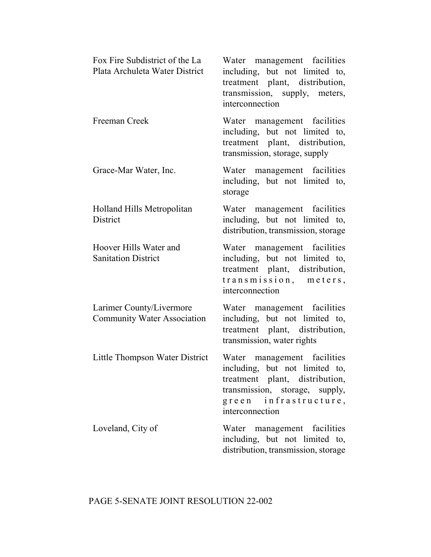| Fox Fire Subdistrict of the La<br>Plata Archuleta Water District | Water management facilities<br>including, but not limited to,<br>treatment plant, distribution,<br>transmission, supply, meters,<br>interconnection                           |
|------------------------------------------------------------------|-------------------------------------------------------------------------------------------------------------------------------------------------------------------------------|
| Freeman Creek                                                    | Water management facilities<br>including, but not limited to,<br>treatment plant, distribution,<br>transmission, storage, supply                                              |
| Grace-Mar Water, Inc.                                            | Water management facilities<br>including, but not limited to,<br>storage                                                                                                      |
| Holland Hills Metropolitan<br><b>District</b>                    | Water management facilities<br>including, but not limited to,<br>distribution, transmission, storage                                                                          |
| Hoover Hills Water and<br><b>Sanitation District</b>             | Water management facilities<br>including, but not limited to,<br>treatment plant, distribution,<br>transmission, meters,<br>interconnection                                   |
| Larimer County/Livermore<br><b>Community Water Association</b>   | Water management facilities<br>including, but not limited to,<br>treatment plant, distribution,<br>transmission, water rights                                                 |
| Little Thompson Water District                                   | Water management facilities<br>including, but not limited to,<br>treatment plant, distribution,<br>transmission, storage, supply,<br>green infrastructure,<br>interconnection |
| Loveland, City of                                                | Water management facilities<br>including, but not limited to,<br>distribution, transmission, storage                                                                          |

# PAGE 5-SENATE JOINT RESOLUTION 22-002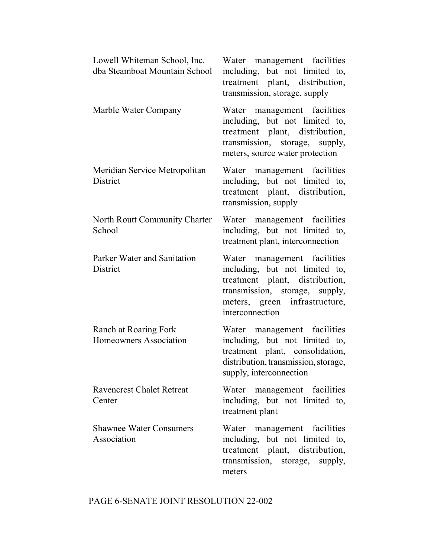| Lowell Whiteman School, Inc.<br>dba Steamboat Mountain School | Water management facilities<br>including, but not limited to,<br>treatment plant, distribution,<br>transmission, storage, supply                                                      |
|---------------------------------------------------------------|---------------------------------------------------------------------------------------------------------------------------------------------------------------------------------------|
| Marble Water Company                                          | Water management facilities<br>including, but not limited to,<br>treatment plant, distribution,<br>transmission, storage, supply,<br>meters, source water protection                  |
| Meridian Service Metropolitan<br><b>District</b>              | Water management facilities<br>including, but not limited to,<br>treatment plant, distribution,<br>transmission, supply                                                               |
| North Routt Community Charter<br>School                       | Water management facilities<br>including, but not limited to,<br>treatment plant, interconnection                                                                                     |
| Parker Water and Sanitation<br>District                       | Water management facilities<br>including, but not limited to,<br>treatment plant, distribution,<br>transmission, storage, supply,<br>meters, green infrastructure,<br>interconnection |
| Ranch at Roaring Fork<br>Homeowners Association               | Water management facilities<br>including, but not limited to,<br>treatment plant, consolidation,<br>distribution, transmission, storage,<br>supply, interconnection                   |
| <b>Ravencrest Chalet Retreat</b><br>Center                    | Water management facilities<br>including, but not limited to,<br>treatment plant                                                                                                      |
| <b>Shawnee Water Consumers</b><br>Association                 | Water management facilities<br>including, but not limited to,<br>treatment plant, distribution,<br>transmission, storage, supply,<br>meters                                           |

# PAGE 6-SENATE JOINT RESOLUTION 22-002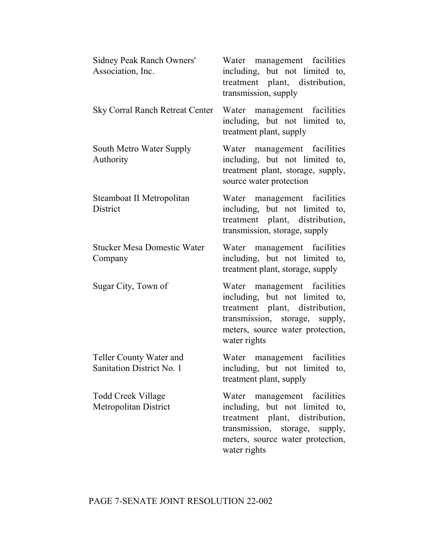| Sidney Peak Ranch Owners'<br>Association, Inc.       | Water management facilities<br>including, but not limited to,<br>treatment plant, distribution,<br>transmission, supply                                                               |
|------------------------------------------------------|---------------------------------------------------------------------------------------------------------------------------------------------------------------------------------------|
| <b>Sky Corral Ranch Retreat Center</b>               | Water management facilities<br>including, but not limited to,<br>treatment plant, supply                                                                                              |
| South Metro Water Supply<br>Authority                | Water management facilities<br>including, but not limited to,<br>treatment plant, storage, supply,<br>source water protection                                                         |
| Steamboat II Metropolitan<br>District                | Water management facilities<br>including, but not limited to,<br>treatment plant, distribution,<br>transmission, storage, supply                                                      |
| <b>Stucker Mesa Domestic Water</b><br>Company        | Water management facilities<br>including, but not limited to,<br>treatment plant, storage, supply                                                                                     |
| Sugar City, Town of                                  | Water management facilities<br>including, but not limited to,<br>treatment plant, distribution,<br>transmission, storage, supply,<br>meters, source water protection,<br>water rights |
| Teller County Water and<br>Sanitation District No. 1 | Water management facilities<br>including, but not limited to,<br>treatment plant, supply                                                                                              |
| <b>Todd Creek Village</b><br>Metropolitan District   | Water management facilities<br>including, but not limited to,<br>treatment plant, distribution,<br>transmission, storage, supply,<br>meters, source water protection,<br>water rights |

# PAGE 7-SENATE JOINT RESOLUTION 22-002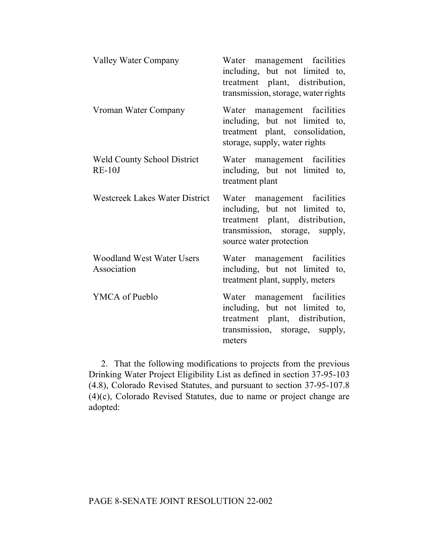| <b>Valley Water Company</b>                     | Water management facilities<br>including, but not limited to,<br>treatment plant, distribution,<br>transmission, storage, water rights                       |
|-------------------------------------------------|--------------------------------------------------------------------------------------------------------------------------------------------------------------|
| Vroman Water Company                            | Water management facilities<br>including, but not limited to,<br>treatment plant, consolidation,<br>storage, supply, water rights                            |
| <b>Weld County School District</b><br>$RE-10J$  | Water management facilities<br>including, but not limited to,<br>treatment plant                                                                             |
| <b>Westcreek Lakes Water District</b>           | Water management facilities<br>including, but not limited to,<br>treatment plant, distribution,<br>transmission, storage, supply,<br>source water protection |
| <b>Woodland West Water Users</b><br>Association | Water management facilities<br>including, but not limited to,<br>treatment plant, supply, meters                                                             |
| YMCA of Pueblo                                  | Water management facilities<br>including, but not limited to,<br>treatment plant, distribution,<br>transmission, storage, supply,<br>meters                  |

2. That the following modifications to projects from the previous Drinking Water Project Eligibility List as defined in section 37-95-103 (4.8), Colorado Revised Statutes, and pursuant to section 37-95-107.8 (4)(c), Colorado Revised Statutes, due to name or project change are adopted: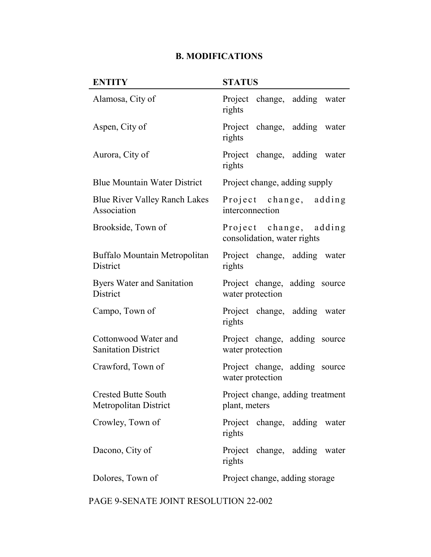#### **B. MODIFICATIONS**

### **ENTITY STATUS** Alamosa, City of Project change, adding water rights Aspen, City of Project change, adding water rights Aurora, City of Project change, adding water rights Blue Mountain Water District Project change, adding supply Blue River Valley Ranch Lakes Association Project change, adding interconnection Brookside, Town of Project change, adding consolidation, water rights Buffalo Mountain Metropolitan **District** Project change, adding water rights Byers Water and Sanitation **District** Project change, adding source water protection Campo, Town of Project change, adding water rights Cottonwood Water and Sanitation District Project change, adding source water protection Crawford, Town of Project change, adding source water protection Crested Butte South Metropolitan District Project change, adding treatment plant, meters Crowley, Town of Project change, adding water rights Dacono, City of Project change, adding water rights Dolores, Town of Project change, adding storage

#### PAGE 9-SENATE JOINT RESOLUTION 22-002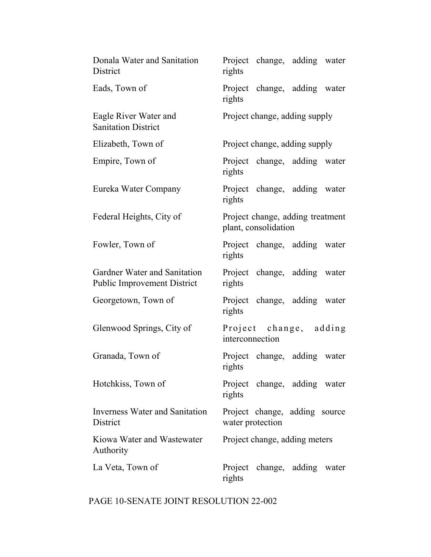| Donala Water and Sanitation<br>District                            | rights           | Project change, adding water                             |  |
|--------------------------------------------------------------------|------------------|----------------------------------------------------------|--|
| Eads, Town of                                                      | rights           | Project change, adding water                             |  |
| Eagle River Water and<br><b>Sanitation District</b>                |                  | Project change, adding supply                            |  |
| Elizabeth, Town of                                                 |                  | Project change, adding supply                            |  |
| Empire, Town of                                                    | rights           | Project change, adding water                             |  |
| Eureka Water Company                                               | rights           | Project change, adding water                             |  |
| Federal Heights, City of                                           |                  | Project change, adding treatment<br>plant, consolidation |  |
| Fowler, Town of                                                    | rights           | Project change, adding water                             |  |
| Gardner Water and Sanitation<br><b>Public Improvement District</b> | rights           | Project change, adding water                             |  |
| Georgetown, Town of                                                | rights           | Project change, adding water                             |  |
| Glenwood Springs, City of                                          | interconnection  | Project change, adding                                   |  |
| Granada, Town of                                                   | rights           | Project change, adding water                             |  |
| Hotchkiss, Town of                                                 | rights           | Project change, adding water                             |  |
| <b>Inverness Water and Sanitation</b><br>District                  | water protection | Project change, adding source                            |  |
| Kiowa Water and Wastewater<br>Authority                            |                  | Project change, adding meters                            |  |
| La Veta, Town of                                                   | rights           | Project change, adding water                             |  |

# PAGE 10-SENATE JOINT RESOLUTION 22-002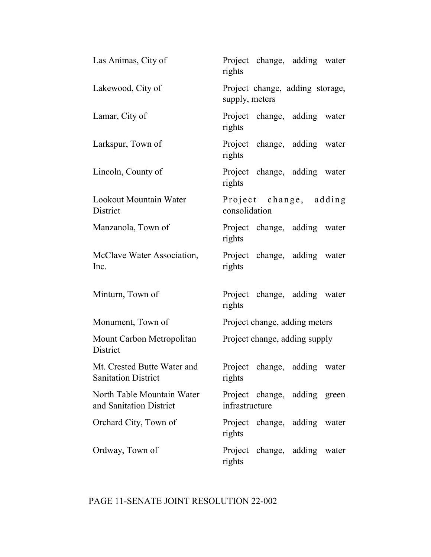| Las Animas, City of                                       | Project change, adding water<br>rights            |
|-----------------------------------------------------------|---------------------------------------------------|
| Lakewood, City of                                         | Project change, adding storage,<br>supply, meters |
| Lamar, City of                                            | Project change, adding water<br>rights            |
| Larkspur, Town of                                         | Project change, adding water<br>rights            |
| Lincoln, County of                                        | Project change, adding water<br>rights            |
| Lookout Mountain Water<br>District                        | Project change, adding<br>consolidation           |
| Manzanola, Town of                                        | Project change, adding water<br>rights            |
| McClave Water Association,<br>Inc.                        | Project change, adding water<br>rights            |
| Minturn, Town of                                          | Project change, adding water<br>rights            |
| Monument, Town of                                         | Project change, adding meters                     |
| Mount Carbon Metropolitan<br>District                     | Project change, adding supply                     |
| Mt. Crested Butte Water and<br><b>Sanitation District</b> | Project change, adding water<br>rights            |
| North Table Mountain Water<br>and Sanitation District     | Project change, adding green<br>infrastructure    |
| Orchard City, Town of                                     | Project change, adding water<br>rights            |
| Ordway, Town of                                           | Project change, adding water<br>rights            |

# PAGE 11-SENATE JOINT RESOLUTION 22-002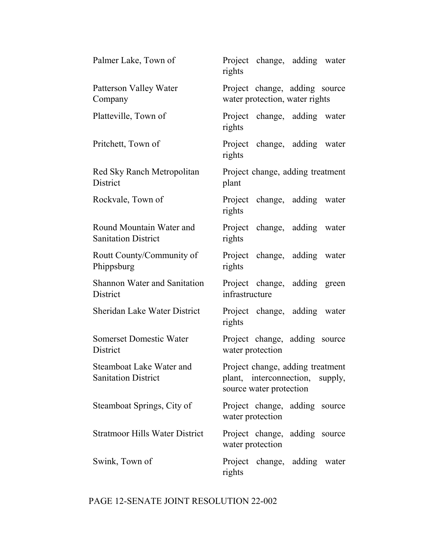| Palmer Lake, Town of                                   | Project change, adding water<br>rights                                                         |
|--------------------------------------------------------|------------------------------------------------------------------------------------------------|
| Patterson Valley Water<br>Company                      | Project change, adding source<br>water protection, water rights                                |
| Platteville, Town of                                   | Project change, adding water<br>rights                                                         |
| Pritchett, Town of                                     | Project change, adding water<br>rights                                                         |
| Red Sky Ranch Metropolitan<br>District                 | Project change, adding treatment<br>plant                                                      |
| Rockvale, Town of                                      | Project change, adding water<br>rights                                                         |
| Round Mountain Water and<br><b>Sanitation District</b> | Project change, adding water<br>rights                                                         |
| Routt County/Community of<br>Phippsburg                | Project change, adding water<br>rights                                                         |
| Shannon Water and Sanitation<br>District               | Project change, adding green<br>infrastructure                                                 |
| <b>Sheridan Lake Water District</b>                    | Project change, adding water<br>rights                                                         |
| <b>Somerset Domestic Water</b><br>District             | Project change, adding source<br>water protection                                              |
| Steamboat Lake Water and<br><b>Sanitation District</b> | Project change, adding treatment<br>plant, interconnection, supply,<br>source water protection |
| Steamboat Springs, City of                             | Project change, adding source<br>water protection                                              |
| <b>Stratmoor Hills Water District</b>                  | Project change, adding source<br>water protection                                              |
| Swink, Town of                                         | Project change, adding water<br>rights                                                         |

# PAGE 12-SENATE JOINT RESOLUTION 22-002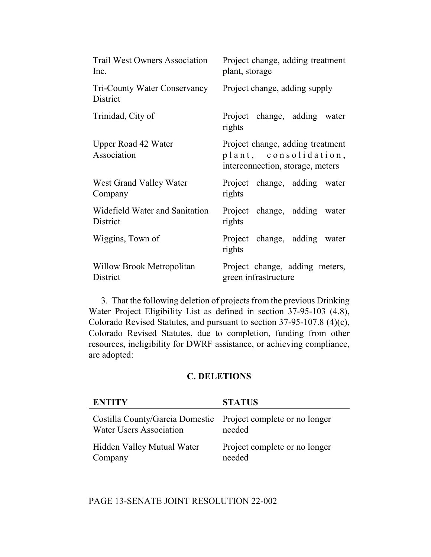| <b>Trail West Owners Association</b>      | Project change, adding treatment                                                              |
|-------------------------------------------|-----------------------------------------------------------------------------------------------|
| Inc.                                      | plant, storage                                                                                |
| Tri-County Water Conservancy<br>District  | Project change, adding supply                                                                 |
| Trinidad, City of                         | Project change, adding water<br>rights                                                        |
| <b>Upper Road 42 Water</b><br>Association | Project change, adding treatment<br>plant, consolidation,<br>interconnection, storage, meters |
| West Grand Valley Water                   | Project change, adding water                                                                  |
| Company                                   | rights                                                                                        |
| Widefield Water and Sanitation            | Project change, adding water                                                                  |
| District                                  | rights                                                                                        |
| Wiggins, Town of                          | Project change, adding water<br>rights                                                        |
| Willow Brook Metropolitan                 | Project change, adding meters,                                                                |
| District                                  | green infrastructure                                                                          |

3. That the following deletion of projects from the previous Drinking Water Project Eligibility List as defined in section 37-95-103 (4.8), Colorado Revised Statutes, and pursuant to section 37-95-107.8 (4)(c), Colorado Revised Statutes, due to completion, funding from other resources, ineligibility for DWRF assistance, or achieving compliance, are adopted:

#### **C. DELETIONS**

| <b>ENTITY</b>                                                                                   | <b>STATUS</b>                           |
|-------------------------------------------------------------------------------------------------|-----------------------------------------|
| Costilla County/Garcia Domestic Project complete or no longer<br><b>Water Users Association</b> | needed                                  |
| Hidden Valley Mutual Water<br>Company                                                           | Project complete or no longer<br>needed |

## PAGE 13-SENATE JOINT RESOLUTION 22-002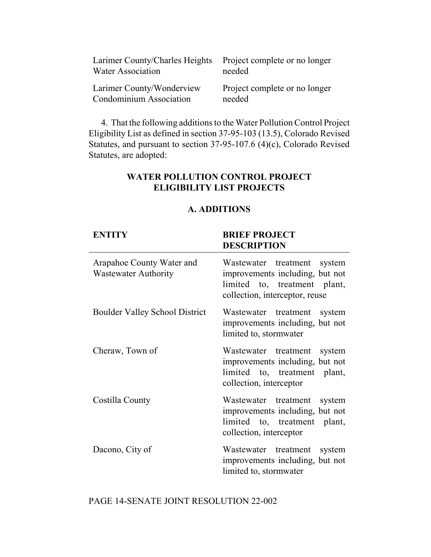| Larimer County/Charles Heights Project complete or no longer<br><b>Water Association</b> | needed                        |
|------------------------------------------------------------------------------------------|-------------------------------|
| Larimer County/Wonderview                                                                | Project complete or no longer |
| Condominium Association                                                                  | needed                        |

4. That the following additions to the Water Pollution Control Project Eligibility List as defined in section 37-95-103 (13.5), Colorado Revised Statutes, and pursuant to section 37-95-107.6 (4)(c), Colorado Revised Statutes, are adopted:

### **WATER POLLUTION CONTROL PROJECT ELIGIBILITY LIST PROJECTS**

#### **A. ADDITIONS**

#### **ENTITY BRIEF PROJECT DESCRIPTION**

| Arapahoe County Water and<br><b>Wastewater Authority</b> | Wastewater treatment system<br>improvements including, but not<br>limited to, treatment plant,<br>collection, interceptor, reuse |
|----------------------------------------------------------|----------------------------------------------------------------------------------------------------------------------------------|
| <b>Boulder Valley School District</b>                    | Wastewater treatment<br>system<br>improvements including, but not<br>limited to, stormwater                                      |
| Cheraw, Town of                                          | Wastewater treatment<br>system<br>improvements including, but not<br>limited to, treatment plant,<br>collection, interceptor     |
| Costilla County                                          | Wastewater treatment system<br>improvements including, but not<br>limited to, treatment plant,<br>collection, interceptor        |
| Dacono, City of                                          | Wastewater treatment system<br>improvements including, but not<br>limited to, stormwater                                         |

PAGE 14-SENATE JOINT RESOLUTION 22-002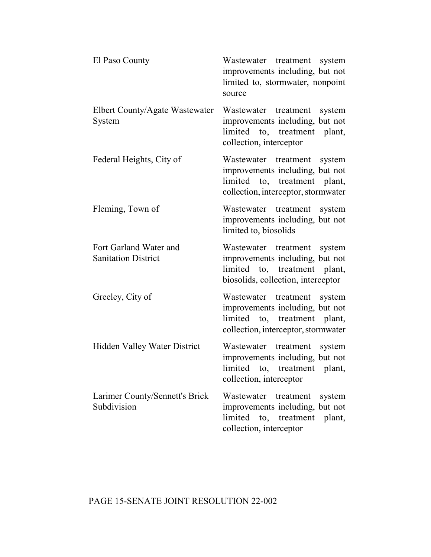| El Paso County                                       | Wastewater treatment system<br>improvements including, but not<br>limited to, stormwater, nonpoint<br>source                             |
|------------------------------------------------------|------------------------------------------------------------------------------------------------------------------------------------------|
| Elbert County/Agate Wastewater<br>System             | Wastewater treatment<br>system<br>improvements including, but not<br>limited to, treatment plant,<br>collection, interceptor             |
| Federal Heights, City of                             | Wastewater treatment<br>system<br>improvements including, but not<br>limited to, treatment plant,<br>collection, interceptor, stormwater |
| Fleming, Town of                                     | Wastewater treatment system<br>improvements including, but not<br>limited to, biosolids                                                  |
| Fort Garland Water and<br><b>Sanitation District</b> | Wastewater treatment<br>system<br>improvements including, but not<br>limited to, treatment plant,<br>biosolids, collection, interceptor  |
| Greeley, City of                                     | Wastewater treatment system<br>improvements including, but not<br>limited to, treatment plant,<br>collection, interceptor, stormwater    |
| Hidden Valley Water District                         | Wastewater treatment<br>system<br>improvements including, but not<br>limited to, treatment plant,<br>collection, interceptor             |
| Larimer County/Sennett's Brick<br>Subdivision        | Wastewater<br>treatment<br>system<br>improvements including, but not<br>limited to, treatment plant,<br>collection, interceptor          |

# PAGE 15-SENATE JOINT RESOLUTION 22-002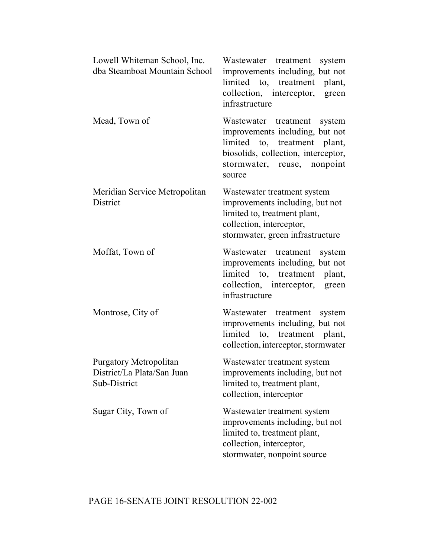| Lowell Whiteman School, Inc.<br>dba Steamboat Mountain School               | Wastewater treatment system<br>improvements including, but not<br>limited to, treatment plant,<br>collection, interceptor, green<br>infrastructure                                |
|-----------------------------------------------------------------------------|-----------------------------------------------------------------------------------------------------------------------------------------------------------------------------------|
| Mead, Town of                                                               | Wastewater treatment<br>system<br>improvements including, but not<br>limited to, treatment plant,<br>biosolids, collection, interceptor,<br>stormwater, reuse, nonpoint<br>source |
| Meridian Service Metropolitan<br>District                                   | Wastewater treatment system<br>improvements including, but not<br>limited to, treatment plant,<br>collection, interceptor,<br>stormwater, green infrastructure                    |
| Moffat, Town of                                                             | Wastewater treatment<br>system<br>improvements including, but not<br>limited to, treatment<br>plant,<br>collection, interceptor, green<br>infrastructure                          |
| Montrose, City of                                                           | Wastewater treatment<br>system<br>improvements including, but not<br>limited to, treatment plant,<br>collection, interceptor, stormwater                                          |
| <b>Purgatory Metropolitan</b><br>District/La Plata/San Juan<br>Sub-District | Wastewater treatment system<br>improvements including, but not<br>limited to, treatment plant,<br>collection, interceptor                                                         |
| Sugar City, Town of                                                         | Wastewater treatment system<br>improvements including, but not<br>limited to, treatment plant,<br>collection, interceptor,<br>stormwater, nonpoint source                         |

# PAGE 16-SENATE JOINT RESOLUTION 22-002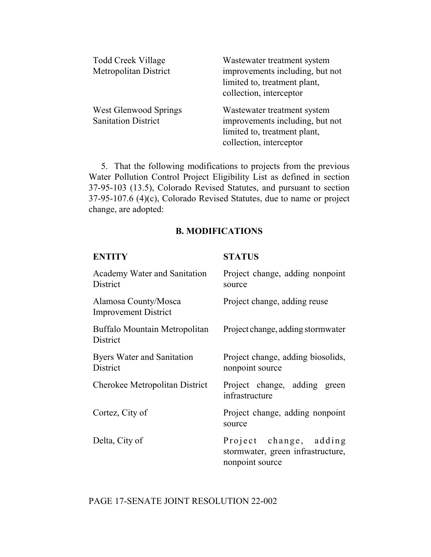| Todd Creek Village<br>Metropolitan District         | Wastewater treatment system<br>improvements including, but not<br>limited to, treatment plant,<br>collection, interceptor |
|-----------------------------------------------------|---------------------------------------------------------------------------------------------------------------------------|
| West Glenwood Springs<br><b>Sanitation District</b> | Wastewater treatment system<br>improvements including, but not<br>limited to, treatment plant,<br>collection, interceptor |

5. That the following modifications to projects from the previous Water Pollution Control Project Eligibility List as defined in section 37-95-103 (13.5), Colorado Revised Statutes, and pursuant to section 37-95-107.6 (4)(c), Colorado Revised Statutes, due to name or project change, are adopted:

#### **B. MODIFICATIONS**

| <b>ENTITY</b>                                       | <b>STATUS</b>                                                                  |
|-----------------------------------------------------|--------------------------------------------------------------------------------|
| Academy Water and Sanitation<br>District            | Project change, adding nonpoint<br>source                                      |
| Alamosa County/Mosca<br><b>Improvement District</b> | Project change, adding reuse                                                   |
| Buffalo Mountain Metropolitan<br>District           | Project change, adding stormwater                                              |
| Byers Water and Sanitation<br>District              | Project change, adding biosolids,<br>nonpoint source                           |
| Cherokee Metropolitan District                      | Project change, adding green<br>infrastructure                                 |
| Cortez, City of                                     | Project change, adding nonpoint<br>source                                      |
| Delta, City of                                      | Project change, adding<br>stormwater, green infrastructure,<br>nonpoint source |

## PAGE 17-SENATE JOINT RESOLUTION 22-002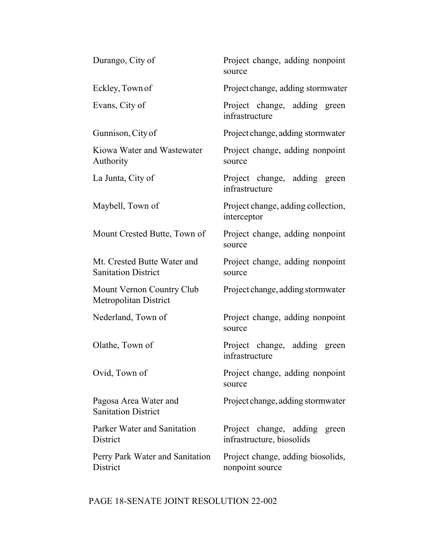| Durango, City of                                          | Project change, adding nonpoint<br>source                    |
|-----------------------------------------------------------|--------------------------------------------------------------|
| Eckley, Town of                                           | Project change, adding stormwater                            |
| Evans, City of                                            | Project change, adding green<br>infrastructure               |
| Gunnison, City of                                         | Project change, adding stormwater                            |
| Kiowa Water and Wastewater<br>Authority                   | Project change, adding nonpoint<br>source                    |
| La Junta, City of                                         | Project change, adding green<br>infrastructure               |
| Maybell, Town of                                          | Project change, adding collection,<br>interceptor            |
| Mount Crested Butte, Town of                              | Project change, adding nonpoint<br>source                    |
| Mt. Crested Butte Water and<br><b>Sanitation District</b> | Project change, adding nonpoint<br>source                    |
| Mount Vernon Country Club<br>Metropolitan District        | Project change, adding stormwater                            |
| Nederland, Town of                                        | Project change, adding nonpoint<br>source                    |
| Olathe, Town of                                           | Project change, adding green<br>infrastructure               |
| Ovid, Town of                                             | Project change, adding nonpoint<br>source                    |
| Pagosa Area Water and<br><b>Sanitation District</b>       | Project change, adding stormwater                            |
| Parker Water and Sanitation<br>District                   | Project change, adding<br>green<br>infrastructure, biosolids |
| Perry Park Water and Sanitation<br>District               | Project change, adding biosolids,<br>nonpoint source         |

# PAGE 18-SENATE JOINT RESOLUTION 22-002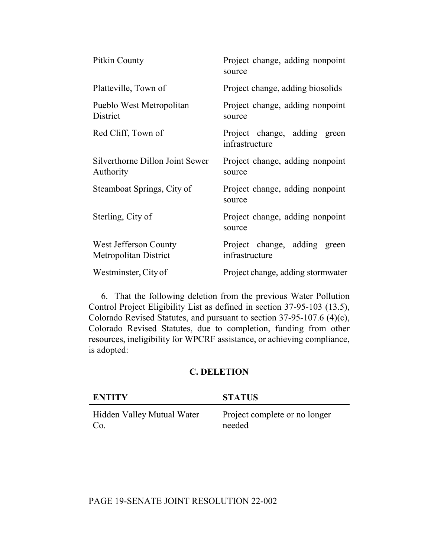| Pitkin County                                  | Project change, adding nonpoint<br>source      |
|------------------------------------------------|------------------------------------------------|
| Platteville, Town of                           | Project change, adding biosolids               |
| Pueblo West Metropolitan<br>District           | Project change, adding nonpoint<br>source      |
| Red Cliff, Town of                             | Project change, adding green<br>infrastructure |
| Silverthorne Dillon Joint Sewer<br>Authority   | Project change, adding nonpoint<br>source      |
| Steamboat Springs, City of                     | Project change, adding nonpoint<br>source      |
| Sterling, City of                              | Project change, adding nonpoint<br>source      |
| West Jefferson County<br>Metropolitan District | Project change, adding green<br>infrastructure |
| Westminster, City of                           | Project change, adding stormwater              |

6. That the following deletion from the previous Water Pollution Control Project Eligibility List as defined in section 37-95-103 (13.5), Colorado Revised Statutes, and pursuant to section 37-95-107.6 (4)(c), Colorado Revised Statutes, due to completion, funding from other resources, ineligibility for WPCRF assistance, or achieving compliance, is adopted:

### **C. DELETION**

| <b>ENTITY</b>              | <b>STATUS</b>                 |
|----------------------------|-------------------------------|
| Hidden Valley Mutual Water | Project complete or no longer |
| Co.                        | needed                        |

## PAGE 19-SENATE JOINT RESOLUTION 22-002